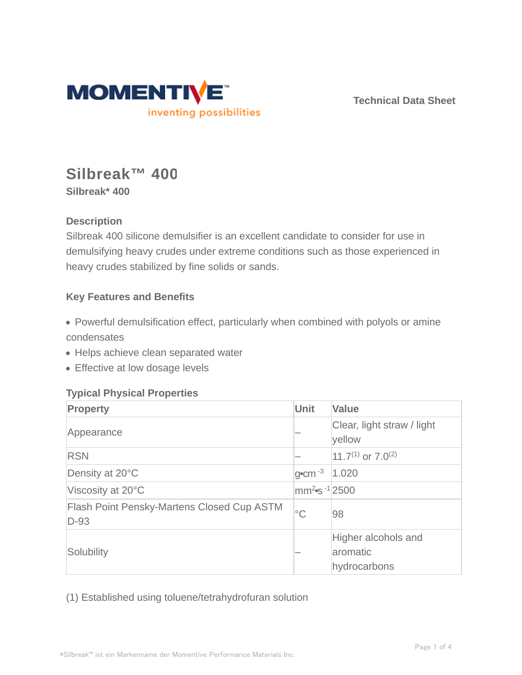

**Technical Data Sheet**

# **Silbreak™ 400**

**Silbreak\* 400**

## **Description**

Silbreak 400 silicone demulsifier is an excellent candidate to consider for use in demulsifying heavy crudes under extreme conditions such as those experienced in heavy crudes stabilized by fine solids or sands.

## **Key Features and Benefits**

Powerful demulsification effect, particularly when combined with polyols or amine condensates

- Helps achieve clean separated water
- Effective at low dosage levels

### **Typical Physical Properties**

| Property                                                    | Unit                              | <b>Value</b>                                    |  |
|-------------------------------------------------------------|-----------------------------------|-------------------------------------------------|--|
| Appearance                                                  |                                   | Clear, light straw / light<br>yellow            |  |
| <b>RSN</b>                                                  |                                   | 11.7 <sup>(1)</sup> or $7.0^{(2)}$              |  |
| Density at 20°C                                             | $g$ <sup>o</sup> cm <sup>-3</sup> | 1.020                                           |  |
| Viscosity at 20°C                                           | mm <sup>2</sup> $\sin^{-1}$ 2500  |                                                 |  |
| <b>Flash Point Pensky-Martens Closed Cup ASTM</b><br>$D-93$ | $^{\circ}C$                       | 98                                              |  |
| Solubility                                                  |                                   | Higher alcohols and<br>aromatic<br>hydrocarbons |  |

(1) Established using toluene/tetrahydrofuran solution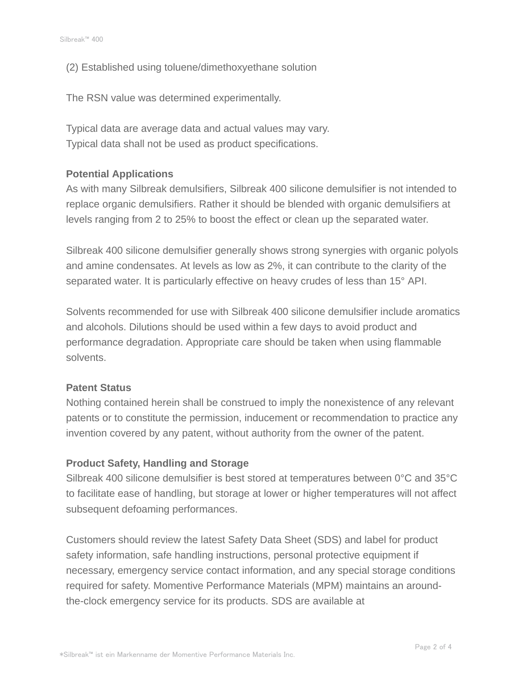(2) Established using toluene/dimethoxyethane solution

The RSN value was determined experimentally.

Typical data are average data and actual values may vary. Typical data shall not be used as product specifications.

#### **Potential Applications**

As with many Silbreak demulsifiers, Silbreak 400 silicone demulsifier is not intended to replace organic demulsifiers. Rather it should be blended with organic demulsifiers at levels ranging from 2 to 25% to boost the effect or clean up the separated water.

Silbreak 400 silicone demulsifier generally shows strong synergies with organic polyols and amine condensates. At levels as low as 2%, it can contribute to the clarity of the separated water. It is particularly effective on heavy crudes of less than 15° API.

Solvents recommended for use with Silbreak 400 silicone demulsifier include aromatics and alcohols. Dilutions should be used within a few days to avoid product and performance degradation. Appropriate care should be taken when using flammable solvents.

#### **Patent Status**

Nothing contained herein shall be construed to imply the nonexistence of any relevant patents or to constitute the permission, inducement or recommendation to practice any invention covered by any patent, without authority from the owner of the patent.

#### **Product Safety, Handling and Storage**

Silbreak 400 silicone demulsifier is best stored at temperatures between 0°C and 35°C to facilitate ease of handling, but storage at lower or higher temperatures will not affect subsequent defoaming performances.

Customers should review the latest Safety Data Sheet (SDS) and label for product safety information, safe handling instructions, personal protective equipment if necessary, emergency service contact information, and any special storage conditions required for safety. Momentive Performance Materials (MPM) maintains an aroundthe-clock emergency service for its products. SDS are available at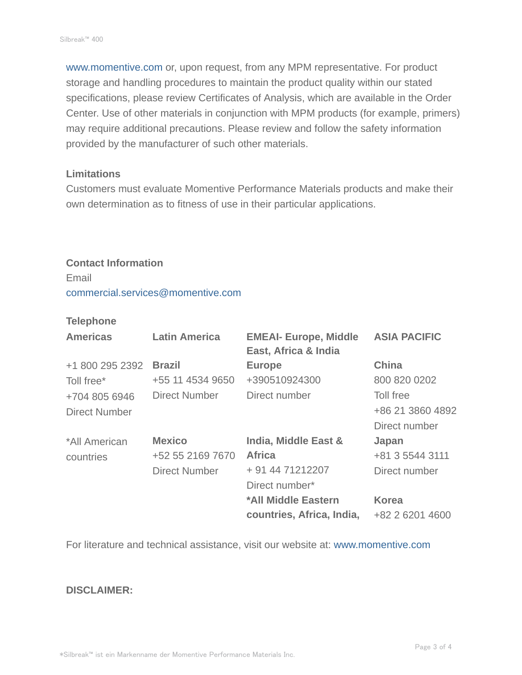www.momentive.com or, upon request, from any MPM representative. For product storage and handling procedures to maintain the product quality within our stated specifications, please review Certificates of Analysis, which are available in the Order Center. Use of other materials in conjunction with MPM products (for example, primers) may require additional precautions. Please review and follow the safety information provided by the manufacturer of such other materials.

#### **Limitations**

Customers must evaluate Momentive Performance Materials products and make their own determination as to fitness of use in their particular applications.

## **Contact Information** Email commercial.services@momentive.com

#### **Telephone**

| <b>Americas</b>      | <b>Latin America</b> | <b>EMEAI- Europe, Middle</b><br>East, Africa & India | <b>ASIA PACIFIC</b> |
|----------------------|----------------------|------------------------------------------------------|---------------------|
| +1 800 295 2392      | <b>Brazil</b>        | <b>Europe</b>                                        | <b>China</b>        |
| Toll free*           | +55 11 4534 9650     | +390510924300                                        | 800 820 0202        |
| +704 805 6946        | <b>Direct Number</b> | Direct number                                        | Toll free           |
| <b>Direct Number</b> |                      |                                                      | +86 21 3860 4892    |
|                      |                      |                                                      | Direct number       |
| *All American        | <b>Mexico</b>        | India, Middle East &                                 | Japan               |
| countries            | +52 55 2169 7670     | <b>Africa</b>                                        | +81 3 5544 3111     |
|                      | <b>Direct Number</b> | + 91 44 71212207                                     | Direct number       |
|                      |                      | Direct number*                                       |                     |
|                      |                      | *All Middle Eastern                                  | <b>Korea</b>        |
|                      |                      | countries, Africa, India,                            | +82 2 6201 4600     |

For literature and technical assistance, visit our website at: www.momentive.com

#### **DISCLAIMER:**